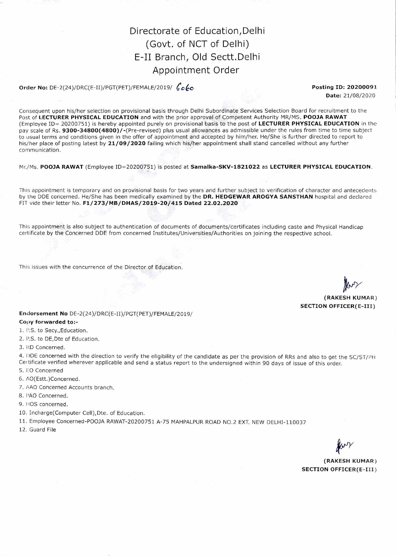## Directorate of Education,Delhi (Govt. of NCT of Delhi) E-II Branch, Old Sectt.Delhi Appointment Order

## **Order No:** DE-2(24)/DRC(E-II)/PGT(PET)/FEMALE/2019/  $\mathcal{C}_{\mathcal{Q}}\mathcal{L}_{\mathcal{Q}}$  **Posting ID: 20200091**

**Date:** 21/08/2020

Consequent upon his/her selection on provisional basis through Delhi Subordinate Services Selection Board for recruitment to the Post of **LECTURER PHYSICAL EDUCATION** and with the prior approval of Competent Authority MR/MS. **POOJA RAWAT**  (Employee ID= 20200751) is hereby appointed purely on provisional basis to the post of **LECTURER PHYSICAL EDUCATION** in the pay scale of Rs. 9300-34800(4800)/-(Pre-revised) plus usual allowances as admissible under the rules from time to time subject to usual terms and conditions given in the offer of appointment and accepted by him/her. He/She is further directed to report to his/her place of posting latest by **21/09/2020** failing which his/her appointment shall stand cancelled without any further communication.

Mr./Ms. **POOJA RAWAT** (Employee ID=20200751) is posted at **Samalka-SKV-1821022** as **LECTURER PHYSICAL EDUCATION.** 

This appointment is temporary and on provisional basis for two years and further subject to verification of character and antecedents by the DDE concerned. He/She has been medically examined by the **DR. HEDGEWAR AROGYA SANSTHAN** hospital and declared FIT vide their letter No. **F1/273/MB/DHAS/2019-20/415 Dated 22.02.2020** 

This appointment is also subject to authentication of documents of documents/certificates including caste and Physical Handicap certificate by the Concerned DDE from concerned Institutes/Universities/Authorities on joining the respective school.

This issues with the concurrence of the Director of Education.

 $\mathcal{V}$ **(RAKESH KUMAR) SECTION OFFICER(E-III)** 

**Endorsement No** DE-2(24)/DRC(E-II)/PGT(PET)/FEMALE/2019/

**Copy forwarded to:-** 

1. P.S. to Secy.,Education.

2. P.S. to DE,Dte of Education.

3. RD Concerned.

4. IDDE concerned with the direction to verify the eligibility of the candidate as per the provision of RRs and also to get the SC/ST/PH Certificate verified wherever applicable and send a status report to the undersigned within 90 days of issue of this order. 5. EO Concerned

- 6. AO(Estt.)Concerned.
- 
- 7. AAO Concerned Accounts branch.
- 8. PAO Concerned.
- 9. HOS concerned.
- 10. Incharge(Computer Cell),Dte. of Education.
- 11. Employee Concerned-POOJA RAWAT-20200751 A-75 MAHPALPUR ROAD NO.2 EXT. NEW DELHI-110037
- 12. Guard File

**(RAKESH KUMAR) SECTION OFFICER(E-III)**